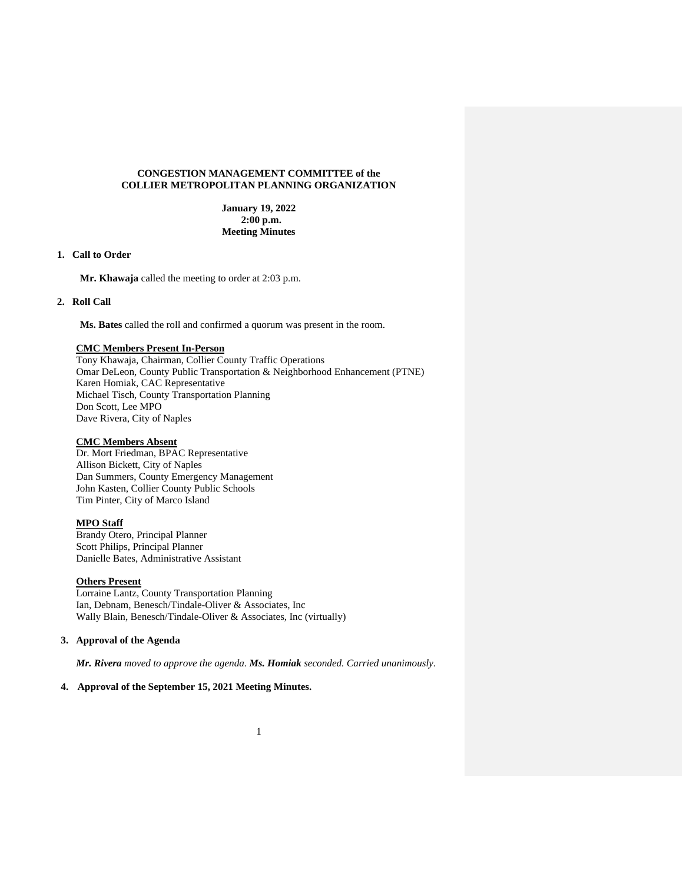### **CONGESTION MANAGEMENT COMMITTEE of the COLLIER METROPOLITAN PLANNING ORGANIZATION**

**January 19, 2022 2:00 p.m. Meeting Minutes**

### **1. Call to Order**

**Mr. Khawaja** called the meeting to order at 2:03 p.m.

## **2. Roll Call**

**Ms. Bates** called the roll and confirmed a quorum was present in the room.

# **CMC Members Present In-Person**

Tony Khawaja, Chairman, Collier County Traffic Operations Omar DeLeon, County Public Transportation & Neighborhood Enhancement (PTNE) Karen Homiak, CAC Representative Michael Tisch, County Transportation Planning Don Scott, Lee MPO Dave Rivera, City of Naples

# **CMC Members Absent**

Dr. Mort Friedman, BPAC Representative Allison Bickett, City of Naples Dan Summers, County Emergency Management John Kasten, Collier County Public Schools Tim Pinter, City of Marco Island

### **MPO Staff**

Brandy Otero, Principal Planner Scott Philips, Principal Planner Danielle Bates, Administrative Assistant

#### **Others Present**

Lorraine Lantz, County Transportation Planning Ian, Debnam, Benesch/Tindale-Oliver & Associates, Inc Wally Blain, Benesch/Tindale-Oliver & Associates, Inc (virtually)

### **3. Approval of the Agenda**

*Mr. Rivera moved to approve the agenda. Ms. Homiak seconded. Carried unanimously.*

# **4. Approval of the September 15, 2021 Meeting Minutes.**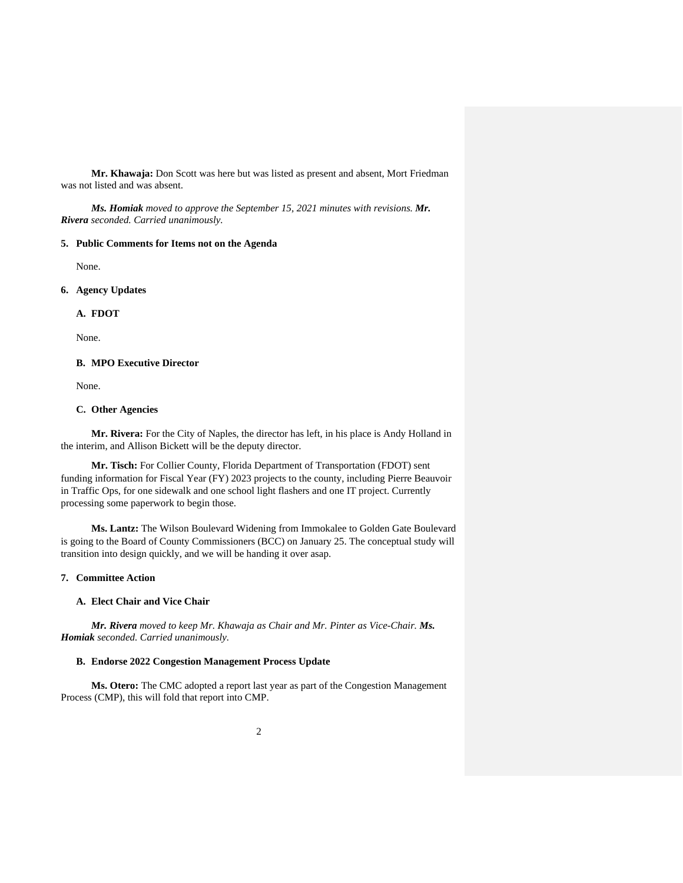**Mr. Khawaja:** Don Scott was here but was listed as present and absent, Mort Friedman was not listed and was absent.

*Ms. Homiak moved to approve the September 15, 2021 minutes with revisions. Mr. Rivera seconded. Carried unanimously.*

#### **5. Public Comments for Items not on the Agenda**

None.

**6. Agency Updates**

## **A. FDOT**

None.

## **B. MPO Executive Director**

None.

### **C. Other Agencies**

**Mr. Rivera:** For the City of Naples, the director has left, in his place is Andy Holland in the interim, and Allison Bickett will be the deputy director.

**Mr. Tisch:** For Collier County, Florida Department of Transportation (FDOT) sent funding information for Fiscal Year (FY) 2023 projects to the county, including Pierre Beauvoir in Traffic Ops, for one sidewalk and one school light flashers and one IT project. Currently processing some paperwork to begin those.

**Ms. Lantz:** The Wilson Boulevard Widening from Immokalee to Golden Gate Boulevard is going to the Board of County Commissioners (BCC) on January 25. The conceptual study will transition into design quickly, and we will be handing it over asap.

# **7. Committee Action**

# **A. Elect Chair and Vice Chair**

*Mr. Rivera moved to keep Mr. Khawaja as Chair and Mr. Pinter as Vice-Chair. Ms. Homiak seconded. Carried unanimously.*

### **B. Endorse 2022 Congestion Management Process Update**

**Ms. Otero:** The CMC adopted a report last year as part of the Congestion Management Process (CMP), this will fold that report into CMP.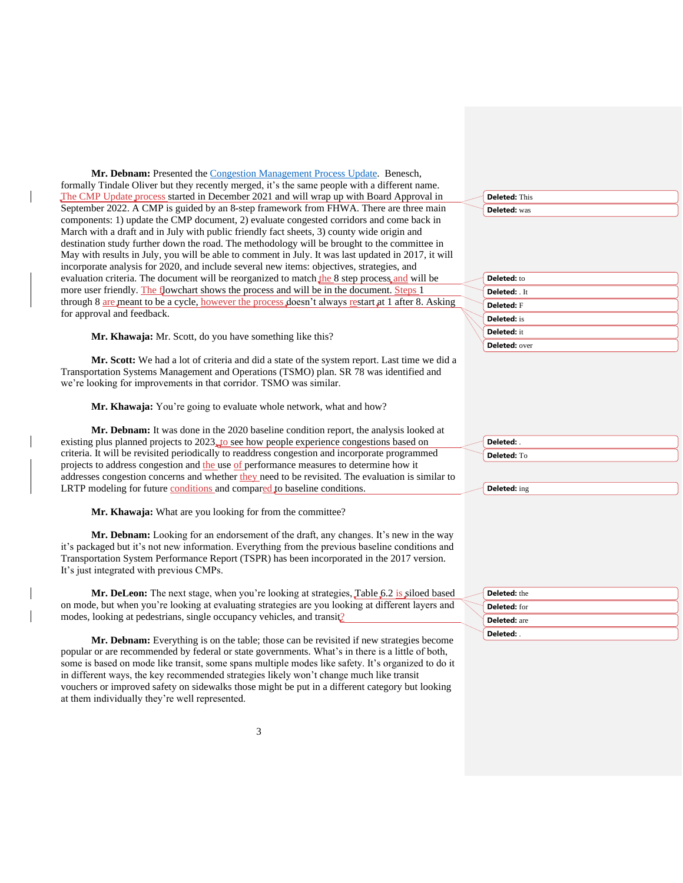**Mr. Debnam:** Presented the [Congestion Management Process Update.](https://www.colliermpo.org/wp-content/uploads/2022/02/CMC-Mtg-1-CMP-Update-01192022_FullPageSlides.pdf) Benesch, formally Tindale Oliver but they recently merged, it's the same people with a different name. The CMP Update process started in December 2021 and will wrap up with Board Approval in September 2022. A CMP is guided by an 8-step framework from FHWA. There are three main components: 1) update the CMP document, 2) evaluate congested corridors and come back in March with a draft and in July with public friendly fact sheets, 3) county wide origin and destination study further down the road. The methodology will be brought to the committee in May with results in July, you will be able to comment in July. It was last updated in 2017, it will incorporate analysis for 2020, and include several new items: objectives, strategies, and evaluation criteria. The document will be reorganized to match the 8 step process and will be more user friendly. The flowchart shows the process and will be in the document. Steps 1 through 8 are meant to be a cycle, however the process doesn't always restart at 1 after 8. Asking for approval and feedback.

**Mr. Khawaja:** Mr. Scott, do you have something like this?

**Mr. Scott:** We had a lot of criteria and did a state of the system report. Last time we did a Transportation Systems Management and Operations (TSMO) plan. SR 78 was identified and we're looking for improvements in that corridor. TSMO was similar.

**Mr. Khawaja:** You're going to evaluate whole network, what and how?

**Mr. Debnam:** It was done in the 2020 baseline condition report, the analysis looked at existing plus planned projects to 2023, to see how people experience congestions based on criteria. It will be revisited periodically to readdress congestion and incorporate programmed projects to address congestion and the use of performance measures to determine how it addresses congestion concerns and whether they need to be revisited. The evaluation is similar to LRTP modeling for future conditions and compared to baseline conditions.

**Mr. Khawaja:** What are you looking for from the committee?

**Mr. Debnam:** Looking for an endorsement of the draft, any changes. It's new in the way it's packaged but it's not new information. Everything from the previous baseline conditions and Transportation System Performance Report (TSPR) has been incorporated in the 2017 version. It's just integrated with previous CMPs.

Mr. DeLeon: The next stage, when you're looking at strategies, Table 6.2 is siloed based on mode, but when you're looking at evaluating strategies are you looking at different layers and modes, looking at pedestrians, single occupancy vehicles, and transit?

**Mr. Debnam:** Everything is on the table; those can be revisited if new strategies become popular or are recommended by federal or state governments. What's in there is a little of both, some is based on mode like transit, some spans multiple modes like safety. It's organized to do it in different ways, the key recommended strategies likely won't change much like transit vouchers or improved safety on sidewalks those might be put in a different category but looking at them individually they're well represented.

**Deleted:** This **Deleted:** was

|  | Deleted: to        |
|--|--------------------|
|  | Deleted: It        |
|  | Deleted: F         |
|  | <b>Deleted:</b> is |
|  | <b>Deleted: it</b> |
|  | Deleted: over      |

| Deleted:    |
|-------------|
| Deleted: To |

| <b>Deleted:</b> ing |  |
|---------------------|--|
|                     |  |

| <b>Deleted:</b> the |
|---------------------|
| <b>Deleted:</b> for |
| <b>Deleted:</b> are |
| Deleted:            |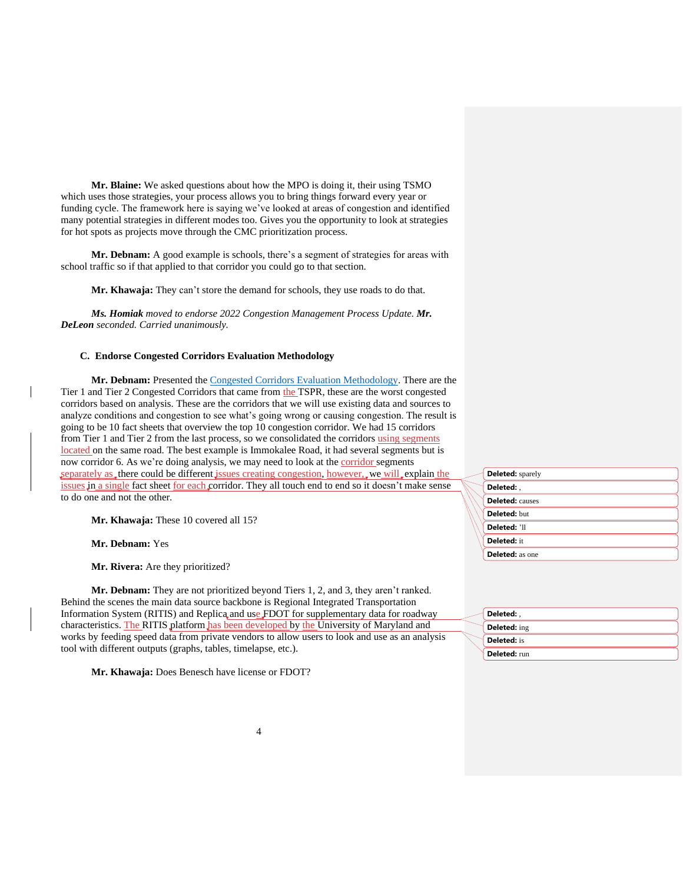**Mr. Blaine:** We asked questions about how the MPO is doing it, their using TSMO which uses those strategies, your process allows you to bring things forward every year or funding cycle. The framework here is saying we've looked at areas of congestion and identified many potential strategies in different modes too. Gives you the opportunity to look at strategies for hot spots as projects move through the CMC prioritization process.

**Mr. Debnam:** A good example is schools, there's a segment of strategies for areas with school traffic so if that applied to that corridor you could go to that section.

**Mr. Khawaja:** They can't store the demand for schools, they use roads to do that.

*Ms. Homiak moved to endorse 2022 Congestion Management Process Update. Mr. DeLeon seconded. Carried unanimously.*

### **C. Endorse Congested Corridors Evaluation Methodology**

**Mr. Debnam:** Presented the [Congested Corridors Evaluation Methodology.](https://www.colliermpo.org/wp-content/uploads/2022/02/CMC-Mtg-1-Corridor-Methodology-01192022_FullPageSlides.pdf) There are the Tier 1 and Tier 2 Congested Corridors that came from the TSPR, these are the worst congested corridors based on analysis. These are the corridors that we will use existing data and sources to analyze conditions and congestion to see what's going wrong or causing congestion. The result is going to be 10 fact sheets that overview the top 10 congestion corridor. We had 15 corridors from Tier 1 and Tier 2 from the last process, so we consolidated the corridors using segments located on the same road. The best example is Immokalee Road, it had several segments but is now corridor 6. As we're doing analysis, we may need to look at the corridor segments separately as, there could be different issues creating congestion, however, we will explain the issues in a single fact sheet for each corridor. They all touch end to end so it doesn't make sense to do one and not the other.

Mr. Khawaja: These 10 covered all 15?

**Mr. Debnam:** Yes

**Mr. Rivera:** Are they prioritized?

**Mr. Debnam:** They are not prioritized beyond Tiers 1, 2, and 3, they aren't ranked. Behind the scenes the main data source backbone is Regional Integrated Transportation Information System (RITIS) and Replica and use FDOT for supplementary data for roadway characteristics. The RITIS platform has been developed by the University of Maryland and works by feeding speed data from private vendors to allow users to look and use as an analysis tool with different outputs (graphs, tables, timelapse, etc.).

**Mr. Khawaja:** Does Benesch have license or FDOT?

| <b>Deleted:</b> sparely |
|-------------------------|
| Deleted:                |
| <b>Deleted:</b> causes  |
| Deleted: but            |
| Deleted: 'll            |
| Deleted: it             |
| <b>Deleted:</b> as one  |

| Deleted:            |  |
|---------------------|--|
| <b>Deleted:</b> ing |  |
| <b>Deleted:</b> is  |  |
| Deleted: run        |  |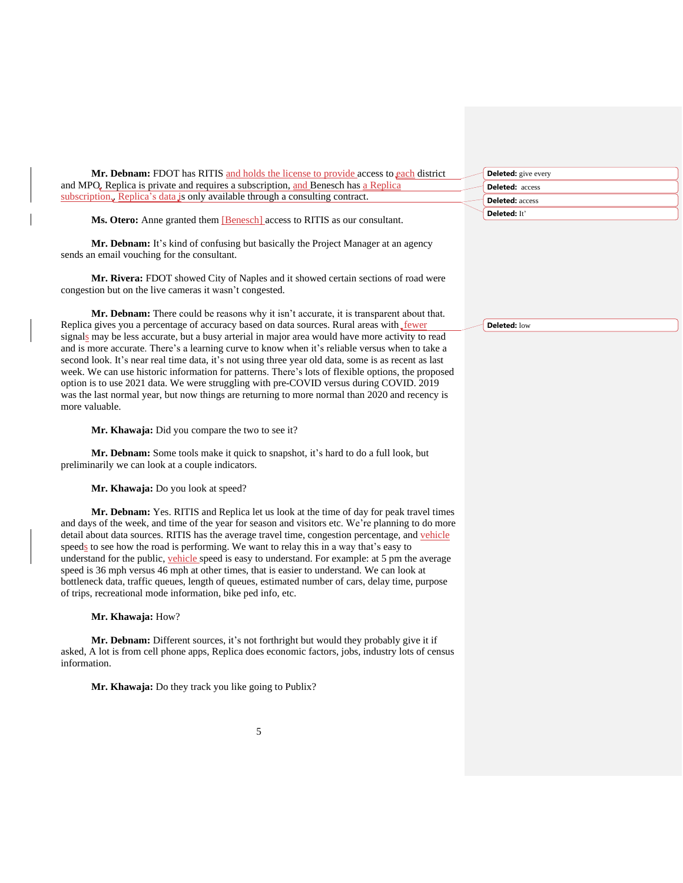| <b>Mr. Debnam:</b> FDOT has RITIS and holds the license to provide access to each district | <b>Deleted:</b> give every |
|--------------------------------------------------------------------------------------------|----------------------------|
| and MPO. Replica is private and requires a subscription, and Benesch has a Replica         | <b>Deleted:</b> access     |
| subscription, Replica's data is only available through a consulting contract.              | <b>Deleted:</b> access     |
|                                                                                            | <b>Deleted:</b> It         |

Ms. Otero: Anne granted them [Benesch] access to RITIS as our consultant.

**Mr. Debnam:** It's kind of confusing but basically the Project Manager at an agency sends an email vouching for the consultant.

**Mr. Rivera:** FDOT showed City of Naples and it showed certain sections of road were congestion but on the live cameras it wasn't congested.

**Mr. Debnam:** There could be reasons why it isn't accurate, it is transparent about that. Replica gives you a percentage of accuracy based on data sources. Rural areas with fewer signals may be less accurate, but a busy arterial in major area would have more activity to read and is more accurate. There's a learning curve to know when it's reliable versus when to take a second look. It's near real time data, it's not using three year old data, some is as recent as last week. We can use historic information for patterns. There's lots of flexible options, the proposed option is to use 2021 data. We were struggling with pre-COVID versus during COVID. 2019 was the last normal year, but now things are returning to more normal than 2020 and recency is more valuable.

**Mr. Khawaja:** Did you compare the two to see it?

**Mr. Debnam:** Some tools make it quick to snapshot, it's hard to do a full look, but preliminarily we can look at a couple indicators.

**Mr. Khawaja:** Do you look at speed?

**Mr. Debnam:** Yes. RITIS and Replica let us look at the time of day for peak travel times and days of the week, and time of the year for season and visitors etc. We're planning to do more detail about data sources. RITIS has the average travel time, congestion percentage, and vehicle speeds to see how the road is performing. We want to relay this in a way that's easy to understand for the public, vehicle speed is easy to understand. For example: at 5 pm the average speed is 36 mph versus 46 mph at other times, that is easier to understand. We can look at bottleneck data, traffic queues, length of queues, estimated number of cars, delay time, purpose of trips, recreational mode information, bike ped info, etc.

**Mr. Khawaja:** How?

**Mr. Debnam:** Different sources, it's not forthright but would they probably give it if asked, A lot is from cell phone apps, Replica does economic factors, jobs, industry lots of census information.

5

**Mr. Khawaja:** Do they track you like going to Publix?

**Deleted:** low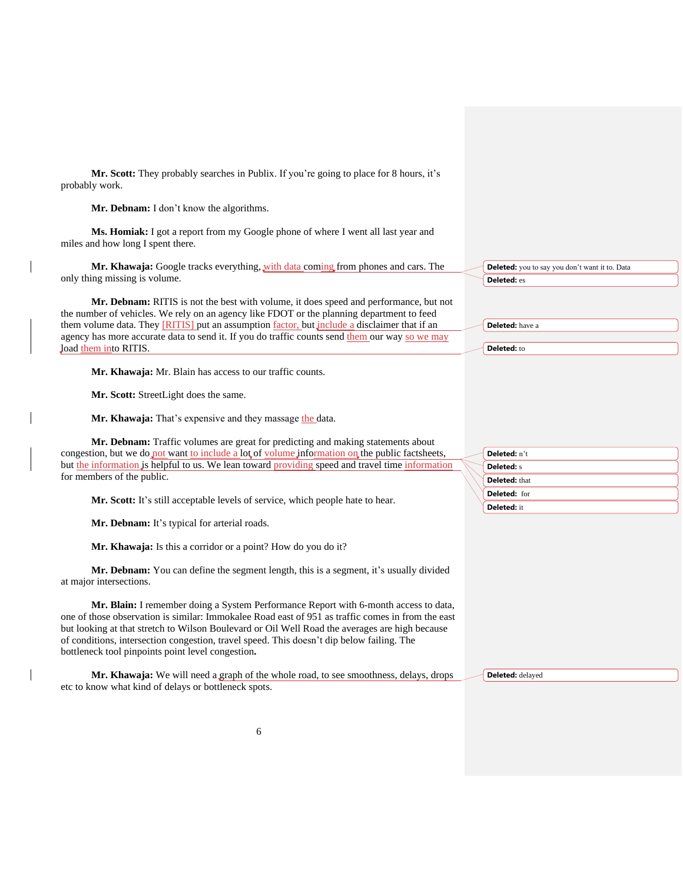**Mr. Scott:** They probably searches in Publix. If you're going to place for 8 hours, it's probably work.

**Mr. Debnam:** I don't know the algorithms.

**Ms. Homiak:** I got a report from my Google phone of where I went all last year and miles and how long I spent there.

**Mr. Khawaja:** Google tracks everything, with data coming from phones and cars. The only thing missing is volume.

**Mr. Debnam:** RITIS is not the best with volume, it does speed and performance, but not the number of vehicles. We rely on an agency like FDOT or the planning department to feed them volume data. They [RITIS] put an assumption factor, but include a disclaimer that if an agency has more accurate data to send it. If you do traffic counts send them our way so we may load them into RITIS.

**Mr. Khawaja:** Mr. Blain has access to our traffic counts.

**Mr. Scott:** StreetLight does the same.

Mr. Khawaja: That's expensive and they massage the data.

**Mr. Debnam:** Traffic volumes are great for predicting and making statements about congestion, but we do not want to include a lot of volume information on the public factsheets, but the information is helpful to us. We lean toward providing speed and travel time information for members of the public.

**Mr. Scott:** It's still acceptable levels of service, which people hate to hear.

**Mr. Debnam:** It's typical for arterial roads.

**Mr. Khawaja:** Is this a corridor or a point? How do you do it?

**Mr. Debnam:** You can define the segment length, this is a segment, it's usually divided at major intersections.

**Mr. Blain:** I remember doing a System Performance Report with 6-month access to data, one of those observation is similar: Immokalee Road east of 951 as traffic comes in from the east but looking at that stretch to Wilson Boulevard or Oil Well Road the averages are high because of conditions, intersection congestion, travel speed. This doesn't dip below failing. The bottleneck tool pinpoints point level congestion**.**

**Mr. Khawaja:** We will need a graph of the whole road, to see smoothness, delays, drops etc to know what kind of delays or bottleneck spots.

|  | Deleted: n't         |
|--|----------------------|
|  | <b>Deleted: s</b>    |
|  | <b>Deleted:</b> that |
|  | Deleted: for         |
|  | Deleted: it          |

**Deleted:** you to say you don't want it to. Data

**Deleted:** es

**Deleted:** have a

**Deleted:** to

**Deleted:** delayed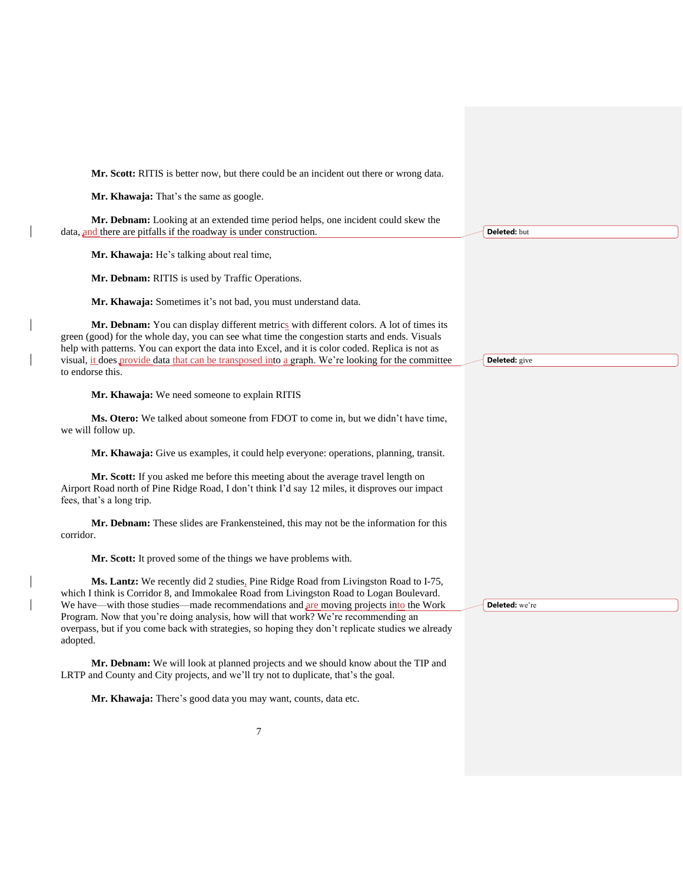**Mr. Scott:** RITIS is better now, but there could be an incident out there or wrong data.

**Mr. Khawaja:** That's the same as google.

**Mr. Debnam:** Looking at an extended time period helps, one incident could skew the data, and there are pitfalls if the roadway is under construction.

**Mr. Khawaja:** He's talking about real time,

**Mr. Debnam:** RITIS is used by Traffic Operations.

**Mr. Khawaja:** Sometimes it's not bad, you must understand data.

Mr. Debnam: You can display different metrics with different colors. A lot of times its green (good) for the whole day, you can see what time the congestion starts and ends. Visuals help with patterns. You can export the data into Excel, and it is color coded. Replica is not as visual, it does provide data that can be transposed into a graph. We're looking for the committee to endorse this.

**Mr. Khawaja:** We need someone to explain RITIS

**Ms. Otero:** We talked about someone from FDOT to come in, but we didn't have time, we will follow up.

**Mr. Khawaja:** Give us examples, it could help everyone: operations, planning, transit.

**Mr. Scott:** If you asked me before this meeting about the average travel length on Airport Road north of Pine Ridge Road, I don't think I'd say 12 miles, it disproves our impact fees, that's a long trip.

**Mr. Debnam:** These slides are Frankensteined, this may not be the information for this corridor.

**Mr. Scott:** It proved some of the things we have problems with.

Ms. Lantz: We recently did 2 studies, Pine Ridge Road from Livingston Road to I-75, which I think is Corridor 8, and Immokalee Road from Livingston Road to Logan Boulevard. We have—with those studies—made recommendations and are moving projects into the Work Program. Now that you're doing analysis, how will that work? We're recommending an overpass, but if you come back with strategies, so hoping they don't replicate studies we already adopted.

**Mr. Debnam:** We will look at planned projects and we should know about the TIP and LRTP and County and City projects, and we'll try not to duplicate, that's the goal.

**Mr. Khawaja:** There's good data you may want, counts, data etc.

| <b>Deleted:</b> but |  |
|---------------------|--|

**Deleted:** give

**Deleted:** we're

7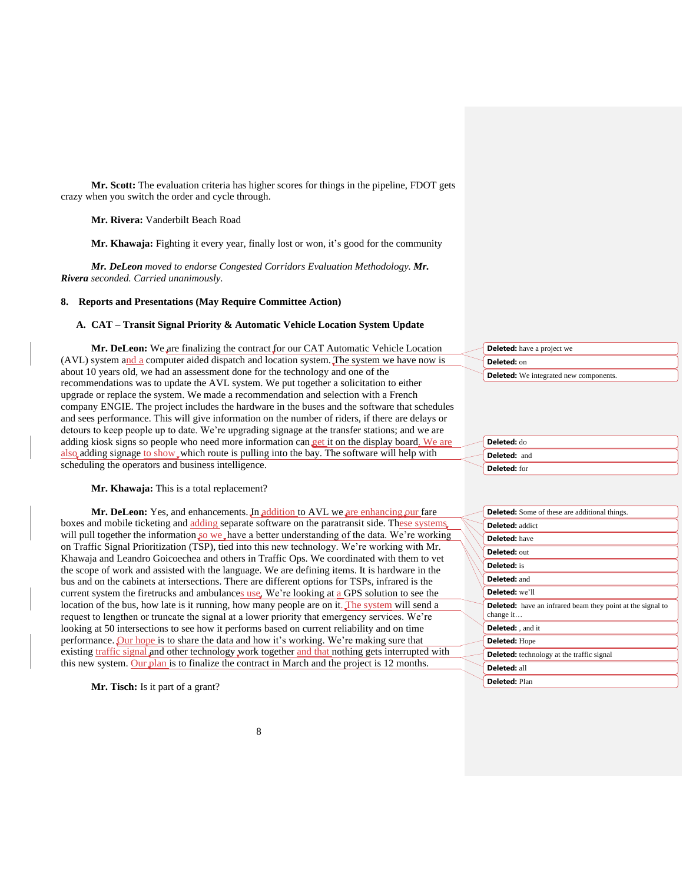**Mr. Scott:** The evaluation criteria has higher scores for things in the pipeline, FDOT gets crazy when you switch the order and cycle through.

**Mr. Rivera:** Vanderbilt Beach Road

**Mr. Khawaja:** Fighting it every year, finally lost or won, it's good for the community

*Mr. DeLeon moved to endorse Congested Corridors Evaluation Methodology. Mr. Rivera seconded. Carried unanimously.*

### **8. Reports and Presentations (May Require Committee Action)**

#### **A. CAT – Transit Signal Priority & Automatic Vehicle Location System Update**

**Mr. DeLeon:** We are finalizing the contract for our CAT Automatic Vehicle Location (AVL) system and a computer aided dispatch and location system. The system we have now is about 10 years old, we had an assessment done for the technology and one of the recommendations was to update the AVL system. We put together a solicitation to either upgrade or replace the system. We made a recommendation and selection with a French company ENGIE. The project includes the hardware in the buses and the software that schedules and sees performance. This will give information on the number of riders, if there are delays or detours to keep people up to date. We're upgrading signage at the transfer stations; and we are adding kiosk signs so people who need more information can get it on the display board. We are also adding signage to show which route is pulling into the bay. The software will help with scheduling the operators and business intelligence.

**Mr. Khawaja:** This is a total replacement?

Mr. DeLeon: Yes, and enhancements. In addition to AVL we are enhancing our fare boxes and mobile ticketing and adding separate software on the paratransit side. These systems will pull together the information so we have a better understanding of the data. We're working on Traffic Signal Prioritization (TSP), tied into this new technology. We're working with Mr. Khawaja and Leandro Goicoechea and others in Traffic Ops. We coordinated with them to vet the scope of work and assisted with the language. We are defining items. It is hardware in the bus and on the cabinets at intersections. There are different options for TSPs, infrared is the current system the firetrucks and ambulances use. We're looking at a GPS solution to see the location of the bus, how late is it running, how many people are on it. The system will send a request to lengthen or truncate the signal at a lower priority that emergency services. We're looking at 50 intersections to see how it performs based on current reliability and on time performance. Our hope is to share the data and how it's working. We're making sure that existing traffic signal and other technology work together and that nothing gets interrupted with this new system. Our plan is to finalize the contract in March and the project is 12 months.

**Mr. Tisch:** Is it part of a grant?

| <b>Deleted:</b> have a project we             |
|-----------------------------------------------|
| Deleted: on                                   |
| <b>Deleted:</b> We integrated new components. |

| Deleted: do         |
|---------------------|
| <b>Deleted: and</b> |
| Deleted: for        |

| <b>Deleted:</b> Some of these are additional things.                           |
|--------------------------------------------------------------------------------|
| <b>Deleted:</b> addict                                                         |
| <b>Deleted:</b> have                                                           |
| <b>Deleted: out</b>                                                            |
| <b>Deleted:</b> is                                                             |
| Deleted: and                                                                   |
| <b>Deleted:</b> we'll                                                          |
| <b>Deleted:</b> have an infrared beam they point at the signal to<br>change it |
| Deleted: , and it                                                              |
| <b>Deleted: Hope</b>                                                           |
| <b>Deleted:</b> technology at the traffic signal                               |
| Deleted: all                                                                   |
| <b>Deleted: Plan</b>                                                           |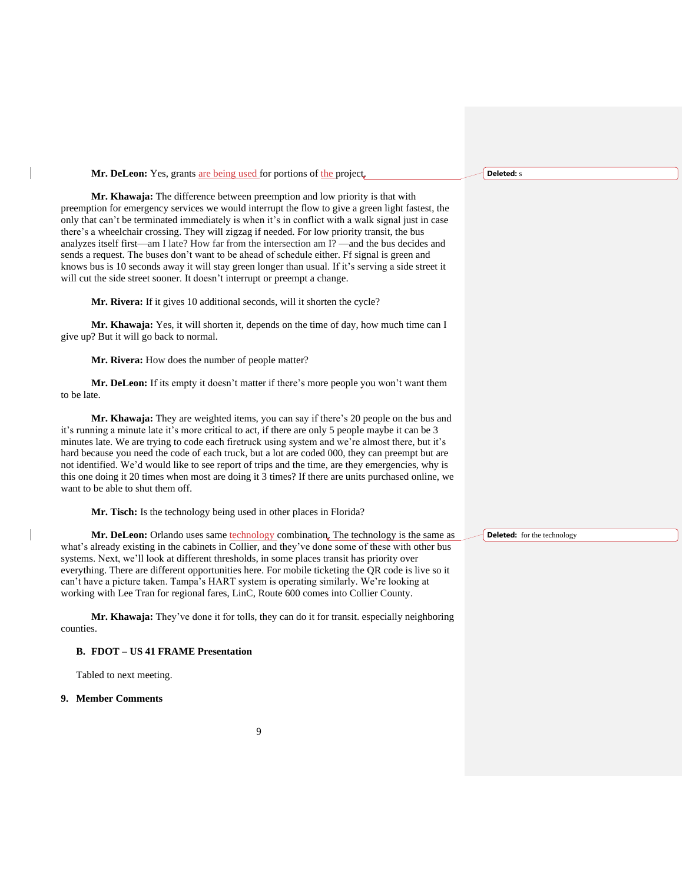| Mr. DeLeon: Yes, grants are being used for portions of the project.                                                                                                                                                                                                                                                                                                                                                                                                                                                                                                                                                                                                                                                                                                          | <b>Deleted:</b> s                  |
|------------------------------------------------------------------------------------------------------------------------------------------------------------------------------------------------------------------------------------------------------------------------------------------------------------------------------------------------------------------------------------------------------------------------------------------------------------------------------------------------------------------------------------------------------------------------------------------------------------------------------------------------------------------------------------------------------------------------------------------------------------------------------|------------------------------------|
| Mr. Khawaja: The difference between preemption and low priority is that with<br>preemption for emergency services we would interrupt the flow to give a green light fastest, the<br>only that can't be terminated immediately is when it's in conflict with a walk signal just in case<br>there's a wheelchair crossing. They will zigzag if needed. For low priority transit, the bus<br>analyzes itself first—am I late? How far from the intersection am I? —and the bus decides and<br>sends a request. The buses don't want to be ahead of schedule either. Ff signal is green and<br>knows bus is 10 seconds away it will stay green longer than usual. If it's serving a side street it<br>will cut the side street sooner. It doesn't interrupt or preempt a change. |                                    |
| Mr. Rivera: If it gives 10 additional seconds, will it shorten the cycle?                                                                                                                                                                                                                                                                                                                                                                                                                                                                                                                                                                                                                                                                                                    |                                    |
| Mr. Khawaja: Yes, it will shorten it, depends on the time of day, how much time can I<br>give up? But it will go back to normal.                                                                                                                                                                                                                                                                                                                                                                                                                                                                                                                                                                                                                                             |                                    |
| Mr. Rivera: How does the number of people matter?                                                                                                                                                                                                                                                                                                                                                                                                                                                                                                                                                                                                                                                                                                                            |                                    |
| Mr. DeLeon: If its empty it doesn't matter if there's more people you won't want them<br>to be late.                                                                                                                                                                                                                                                                                                                                                                                                                                                                                                                                                                                                                                                                         |                                    |
| Mr. Khawaja: They are weighted items, you can say if there's 20 people on the bus and<br>it's running a minute late it's more critical to act, if there are only 5 people maybe it can be 3<br>minutes late. We are trying to code each firetruck using system and we're almost there, but it's<br>hard because you need the code of each truck, but a lot are coded 000, they can preempt but are<br>not identified. We'd would like to see report of trips and the time, are they emergencies, why is<br>this one doing it 20 times when most are doing it 3 times? If there are units purchased online, we<br>want to be able to shut them off.                                                                                                                           |                                    |
| Mr. Tisch: Is the technology being used in other places in Florida?                                                                                                                                                                                                                                                                                                                                                                                                                                                                                                                                                                                                                                                                                                          |                                    |
| Mr. DeLeon: Orlando uses same technology combination. The technology is the same as                                                                                                                                                                                                                                                                                                                                                                                                                                                                                                                                                                                                                                                                                          | <b>Deleted:</b> for the technology |

Tabled to next meeting. **9. Member Comments**

**B. FDOT – US 41 FRAME Presentation**

counties.

 $\overline{\phantom{a}}$ 

what's already existing in the cabinets in Collier, and they've done some of these with other bus systems. Next, we'll look at different thresholds, in some places transit has priority over everything. There are different opportunities here. For mobile ticketing the QR code is live so it can't have a picture taken. Tampa's HART system is operating similarly. We're looking at working with Lee Tran for regional fares, LinC, Route 600 comes into Collier County.

**Mr. Khawaja:** They've done it for tolls, they can do it for transit. especially neighboring